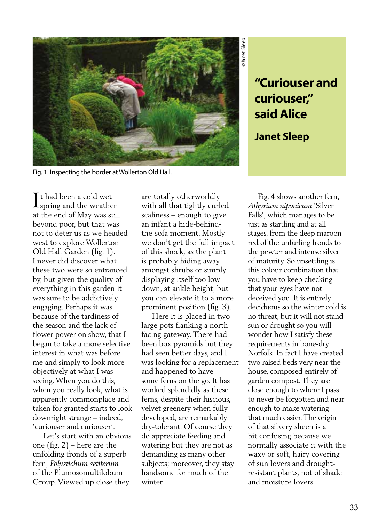

Fig. 1 Inspecting the border at Wollerton Old Hall.

**I** t had been a cold wet  $\prod$ t had been a cold wet<br>Spring and the weather at the end of May was still beyond poor, but that was not to deter us as we headed west to explore Wollerton Old Hall Garden (fig. 1). I never did discover what these two were so entranced by, but given the quality of everything in this garden it was sure to be addictively engaging. Perhaps it was because of the tardiness of the season and the lack of flower-power on show, that I began to take a more selective interest in what was before me and simply to look more objectively at what I was seeing. When you do this, when you really look, what is apparently commonplace and taken for granted starts to look downright strange – indeed, 'curiouser and curiouser'.

 Let's start with an obvious one (fig. 2) – here are the unfolding fronds of a superb fern, *Polystichum setiferum*  of the Plumosomultilobum Group. Viewed up close they

are totally otherworldly with all that tightly curled scaliness – enough to give an infant a hide-behindthe-sofa moment. Mostly we don't get the full impact of this shock, as the plant is probably hiding away amongst shrubs or simply displaying itself too low down, at ankle height, but you can elevate it to a more prominent position (fig. 3).

 Here it is placed in two large pots flanking a northfacing gateway. There had been box pyramids but they had seen better days, and I was looking for a replacement and happened to have some ferns on the go. It has worked splendidly as these ferns, despite their luscious, velvet greenery when fully developed, are remarkably dry-tolerant. Of course they do appreciate feeding and watering but they are not as demanding as many other subjects; moreover, they stay handsome for much of the winter.

## **"Curiouser and curiouser," said Alice**

## **Janet Sleep**

 Fig. 4 shows another fern, *Athyrium niponicum* 'Silver Falls', which manages to be just as startling and at all stages, from the deep maroon red of the unfurling fronds to the pewter and intense silver of maturity. So unsettling is this colour combination that you have to keep checking that your eyes have not deceived you. It is entirely deciduous so the winter cold is no threat, but it will not stand sun or drought so you will wonder how I satisfy these requirements in bone-dry Norfolk. In fact I have created two raised beds very near the house, composed entirely of garden compost. They are close enough to where I pass to never be forgotten and near enough to make watering that much easier. The origin of that silvery sheen is a bit confusing because we normally associate it with the waxy or soft, hairy covering of sun lovers and droughtresistant plants, not of shade and moisture lovers.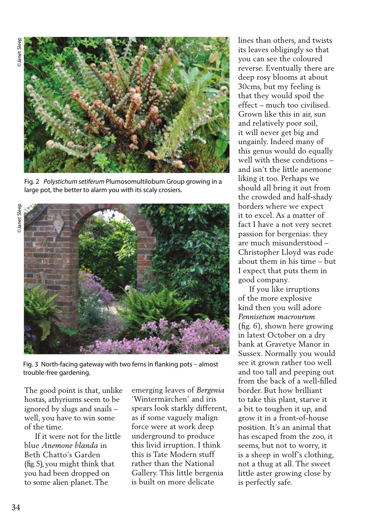

Fig. 2 *Polystichum setiferum* Plumosomultilobum Group growing in a large pot, the better to alarm you with its scaly crosiers.

**DJanet Sleep** ©Janet Sleep



Fig. 3 North-facing gateway with two ferns in flanking pots – almost trouble-free gardening.

The good point is that, unlike hostas, athyriums seem to be ignored by slugs and snails – well, you have to win some of the time.

 If it were not for the little blue *Anemone blanda* in Beth Chatto's Garden (fig. 5), you might think that you had been dropped on to some alien planet. The

emerging leaves of *Bergenia*  'Wintermärchen' and iris spears look starkly different, as if some vaguely malign force were at work deep underground to produce this livid irruption. I think this is Tate Modern stuff rather than the National Gallery. This little bergenia is built on more delicate

lines than others, and twists its leaves obligingly so that you can see the coloured reverse. Eventually there are deep rosy blooms at about 30cms, but my feeling is that they would spoil the effect – much too civilised. Grown like this in air, sun and relatively poor soil, it will never get big and ungainly. Indeed many of this genus would do equally well with these conditions – and isn't the little anemone liking it too. Perhaps we should all bring it out from the crowded and half-shady borders where we expect it to excel. As a matter of fact I have a not very secret passion for bergenias: they are much misunderstood – Christopher Lloyd was rude about them in his time – but I expect that puts them in good company.

 If you like irruptions of the more explosive kind then you will adore *Pennisetum macrourum* (fig. 6), shown here growing in latest October on a dry bank at Gravetye Manor in Sussex. Normally you would see it grown rather too well and too tall and peeping out from the back of a well-filled border. But how brilliant to take this plant, starve it a bit to toughen it up, and grow it in a front-of-house position. It's an animal that has escaped from the zoo, it seems, but not to worry, it is a sheep in wolf's clothing, not a thug at all. The sweet little aster growing close by is perfectly safe.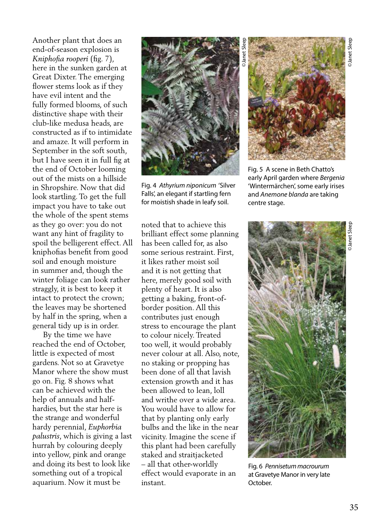Another plant that does an end-of-season explosion is *Kniphofia rooperi* (fig. 7), here in the sunken garden at Great Dixter. The emerging flower stems look as if they have evil intent and the fully formed blooms, of such distinctive shape with their club-like medusa heads, are constructed as if to intimidate and amaze. It will perform in September in the soft south, but I have seen it in full fig at the end of October looming out of the mists on a hillside in Shropshire. Now that did look startling. To get the full impact you have to take out the whole of the spent stems as they go over: you do not want any hint of fragility to spoil the belligerent effect. All kniphofias benefit from good soil and enough moisture in summer and, though the winter foliage can look rather straggly, it is best to keep it intact to protect the crown; the leaves may be shortened by half in the spring, when a

 By the time we have reached the end of October, little is expected of most gardens. Not so at Gravetye Manor where the show must go on. Fig. 8 shows what can be achieved with the help of annuals and halfhardies, but the star here is the strange and wonderful hardy perennial, *Euphorbia palustris*, which is giving a last hurrah by colouring deeply into yellow, pink and orange and doing its best to look like something out of a tropical aquarium. Now it must be

general tidy up is in order.



Fig. 4 *Athyrium niponicum* 'Silver Falls', an elegant if startling fern for moistish shade in leafy soil.

noted that to achieve this brilliant effect some planning has been called for, as also some serious restraint. First, it likes rather moist soil and it is not getting that here, merely good soil with plenty of heart. It is also getting a baking, front-ofborder position. All this contributes just enough stress to encourage the plant to colour nicely. Treated too well, it would probably never colour at all. Also, note, no staking or propping has been done of all that lavish extension growth and it has been allowed to lean, loll and writhe over a wide area. You would have to allow for that by planting only early bulbs and the like in the near vicinity. Imagine the scene if this plant had been carefully staked and straitjacketed – all that other-worldly effect would evaporate in an instant.

Fig. 5 A scene in Beth Chatto's early April garden where *Bergenia* 'Wintermärchen', some early irises and *Anemone blanda* are taking centre stage.



Fig. 6 *Pennisetum macrourum* at Gravetye Manor in very late October.

©Janet Sleepanet Sle

©Janet Sleep

Janet Slee